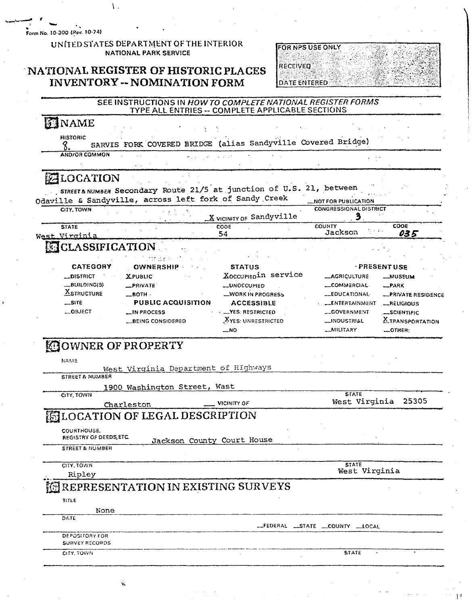Form No. 10-300 (Rev. 10-74)

#### UNITED STATES DEPARTMENT OF THE INTERIOR **NATIONAL PARK SERVICE**

Ϊ.

#### NATIONAL REGISTER OF HISTORIC PLACES **INVENTORY -- NOMINATION FORM**

| <b>FOR NPS USE ONLY</b> |  |
|-------------------------|--|
|                         |  |
|                         |  |
|                         |  |
| <b>RECEIVED</b>         |  |
|                         |  |
|                         |  |
| <b>DATE ENTERED:</b>    |  |

#### SEE INSTRUCTIONS IN HOW TO COMPLETE NATIONAL REGISTER FORMS TYPE ALL ENTRIES -- COMPLETE APPLICABLE SECTIONS

#### SINAME

**HISTORIC** SARVIS FORK COVERED BRIDGE (alias Sandyville Covered Bridge) 8. AND/OR COMMON

#### **ZLOCATION**

STREET& NUMBER Secondary Route 21/5 at junction of U.S. 21, between Odaville & Sandyville, across left fork of Sandy Creek **\_\_NOT FOR PUBLICATION** 

| CITY. TOWN           |                          | <b>CONGRESSIONAL DISTRICT</b> |      |
|----------------------|--------------------------|-------------------------------|------|
|                      | X VICINITY OF Sandyville |                               |      |
| <b>STATE</b>         | <b>CODE</b>              | <b>COUNTY</b>                 | CODE |
| $\mathbf{v}$<br>West | 94                       | Jackson                       |      |

#### **ECLASSIFICATION**

|                 | <b>International Control</b> |                          |                      |                         |
|-----------------|------------------------------|--------------------------|----------------------|-------------------------|
| <b>CATEGORY</b> | <b>OWNERSHIP</b>             | <b>STATUS</b>            |                      | PRESENTUSE              |
| _DISTRICT       | <b>XPUBLIC</b>               | Xoccupiepin service      | <b>__AGRICULTURE</b> | <b>MUSEUM</b>           |
| $-BULDING(S)$   | $\equiv$ PRIVATE             | <b>LUNOCCUPIED</b>       | <b>COMMERCIAL</b>    | $R$ PARK                |
| $X$ STRUCTURE   | $\equiv$ BOTH $\cdot$        | <b>WORK IN PROGRESS</b>  | <b>LEDUCATIONAL</b>  | -PRIVATE RESIDENCE      |
| $$ SITE         | PUBLIC ACQUISITION           | <b>ACCESSIBLE</b>        | LENTERTAINMENT       | -RELIGIOUS              |
| $-$ OBJECT      | LIN PROCESS                  | <b>__YES: RESTRICTED</b> | -GOVERNMENT          | _SCIENTIFIC             |
|                 | <b>BEING CONSIDERED</b>      | XYES: UNRESTRICTED       | <b>__INDUSTRIAL</b>  | <b>X_TRANSPORTATION</b> |
|                 |                              | . NO                     | <b>MILITARY</b>      | $-$ OTHER-              |

#### **EJOWNER OF PROPERTY**

| ------                     |                              |                                      |                     |  |
|----------------------------|------------------------------|--------------------------------------|---------------------|--|
| <b>NAME</b>                |                              |                                      |                     |  |
|                            |                              | West Virginia Department of HIghways |                     |  |
| <b>STREET &amp; NUMBER</b> |                              |                                      |                     |  |
|                            | 1900 Washington Street, Wast |                                      |                     |  |
| CITY, TOWN                 |                              |                                      | <b>STATE</b>        |  |
|                            | Charleston                   | <b>VICINITY OF</b>                   | West Virginia 25305 |  |

### **ELOCATION OF LEGAL DESCRIPTION**

COURTHOUSE.

REGISTRY OF DEEDS, ETC. Jackson County Court House

**STREET & NUMBER** 

CITY, TOWN Ripley

**STATE** West Virginia

#### REPRESENTATION IN EXISTING SURVEYS

| ×<br>÷ |
|--------|
|--------|

None

| <b>DATE</b>           |                             |
|-----------------------|-----------------------------|
|                       | FEDERAL STATE COUNTY LLOCAL |
| <b>DEPOSITORY FOR</b> |                             |
| <b>SURVEY RECORDS</b> |                             |
| -GITY TOWN            | <b>STATE</b>                |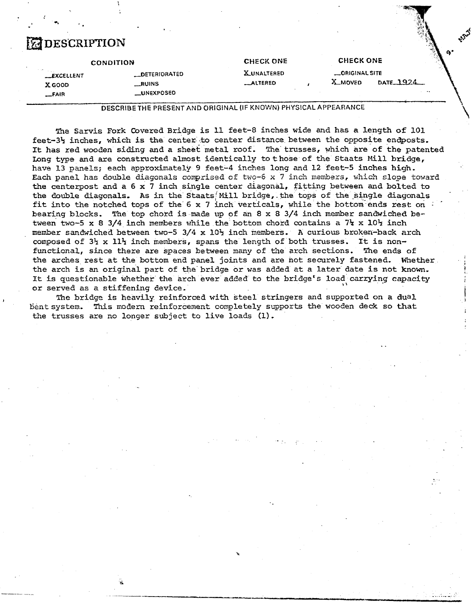# **EXPERIENTION**

**LI** 

|                    | <b>CONDITION</b>      | <b>CHECK ONE</b>   | <b>CHECK ONE</b> | 120740    |
|--------------------|-----------------------|--------------------|------------------|-----------|
| <b>__EXCELLENT</b> | <b>__DETERIORATED</b> | <b>X_UNALTERED</b> | _ORIGINAL SITE   |           |
| X GOOD             | __RUINS               | _ALTERED           | X_MOVED          | DATE 1924 |
| $-$ FAIR           | __UNEXPOSEO           |                    |                  |           |

**urt** \$:

 $\begin{bmatrix} \end{bmatrix}$ 

i

**DESCRIBE THE PRESENT AND** ORIGINAL **(IF** KNOVJN) **PHYSlCAL APPEARANCE** 

**?he Sarvis** Fork Covered Bridge is 11 feet-8 inches wide and has a length of **101.**  feet-3<sup>1</sup> inches, which is the center to center distance between the opposite endposts. It has red wooden siding and a sheet metal roof. The trusses, which are of the patented bng type and are constructed almost identically tothose of the Staats Mill bridge, have 13 panels; each approximately 9 feet-4 inches long and 12 feet-5 inches **high.**  Each panel has double diagonals comprised of two-6 **x** 7 inch members, which slope toward the centerpost **and** a **6 x** 7 inch single center diagonal, fitting between and bolted to the double diagonals. As in the Staats Mill bridge, the tops of the single diagonals fit into the notched tops of the 6 **x** 7 inch verticals, while the bottom-ends **rest: on** : . bearing blocks. The top choxd is **made** up of an 8 x 8 3/4 inch **member** sandwiched between two-5  $\times$  8 3/4 inch members while the bottom chord contains a  $7\frac{1}{4} \times 10\frac{1}{2}$  inch member sandwiched between two4 3/4 **x** 10% inch nntmbers, **A** curious broken-back **arch**  composed of 331 x **11%** inch **members,** spans the length of both trusses. It is nonfunctional, since there are spaces between many of the arch sections. The ends of the **axches** rest at the bottom end panel joints and are not securely fastened, Whether **i**  the arch is an original part of the bridge or was added at a later date is not known. It is questionable whether the arch ever added to the bridge's load carrying capacity or served as a stiffening device.

**1 The** bridge is heavily reinforced with steel stringers and supported on *a* dual i Eent system, **This** nodern reinforcement completely supports **the** wooden deck so **that**  the trusses are no longer subject to live loads **(I).**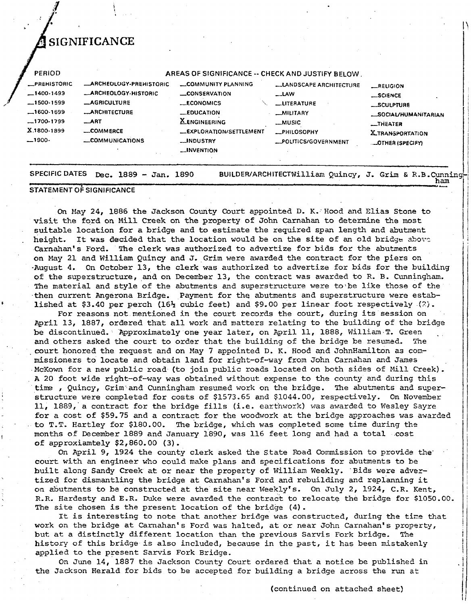### **SIGNIFICANCE**

| <b>_PREHISTORIC</b> | <b>_ARCHEOLOGY-PREHISTORIC</b> | <b>COMMUNITY PLANNING</b> | <b>LANDSCAPE ARCHITECTURE</b> | <b>_RELIGION</b>            |
|---------------------|--------------------------------|---------------------------|-------------------------------|-----------------------------|
| $-1400-1499$        | <b>_ARCHEOLOGY-HISTORIC</b>    | <b>LONSERVATION</b>       | $\mathsf{LAW}$                | <b>LSCIENCE</b>             |
| $-1500.1599$        | <b>_AGRICULTURE</b>            | <b>LECONOMICS</b>         | LITERATURE                    | _SCULPTURE                  |
| $-1600-1699$        | <b>__ARCHITECTURE</b>          | $\_$ EDUCATION            | _MILITARY                     | <b>LSOCIAL/HUMANITARIAN</b> |
| $-1700 - 1799$      | $\_ART$                        | <b>X_ENGINEERING</b>      | <b>__MUSIC</b>                | <b>MITHEATER</b>            |
| X.1800-1899         | _COMMERCE                      | LEXPLORATION/SETTLEMENT   | <b>_PHILOSOPHY</b>            | <b>X_TRANSPORTATION</b>     |
| $-1900-$            | _COMMUNICATIONS                | __INDUSTRY                | _POLITICS/GOVERNMENT          | <b>LOTHER (SPECIFY)</b>     |
|                     |                                | <b>LINVENTION</b>         |                               |                             |

**STATEMENT OF SIGNIFICANCE** 

On May 24, 1886 the Jackson County Court appointed D. K. Hood and Elias Stone to visit the ford on Mill **Creek** on the property of John Carnahan to determine the most suitable location for a bridge and to estimate the required span length and abutment height. It was decided that the location would be on the site of an old bridge above<br>Carnahan's Ford. The clerk was authorized to advertize for bids for the abutments The clerk was authorized to advertize for bids for the abutments on May 21 and William Quincy and J. Grim were awarded the contract for the piers on -August 4. On October 13, the clerk was authorized to advertize for bids for the building of the superstructure, and on December 13, the contract was awarded to R. B. Cunningham. **The** material and style of the abutments and superstructure were to'be like those of the then current Angerona Bridge. Payment for the abutments and superstructure were estab-<br>**I**ished at \$3.40 per perch (16<sup>3</sup><sub>2</sub> cubic feet) and \$9.00 per linear foot respectively (2).

For reasons not mentioned in the court records the court, during its session on April 13, 1887, ordered that all work and matters relating to the building of the bridge be discontinued. Approximately one year later, on April 11, 1888, William T. Green and others asked the court to order that the building of the bridge be resumed. The and others asked the court to order that the building of the bridge be resumed. court honored the request and on May 7 appointed D. K. Hood and JohnHamilton as commissioners to locate and obtain land for right-of-way from John Carnahan and James McKown for a new public road (to join public roads located on both sides of Mill Creek). A 20 foot wide right-of-way was obtained without expense to the county and during this time , Quincy, Grim and Cunningham resumed work on the bridge. The abutments and superstructure were completed for costs of \$1573 -65 and \$lO44,OO, respectively. On November 11, 1889, a contract for the bridge fills (i.e. earthwork) was awarded to Wesley Sayre for a cost of \$59.75 and a contract for the woodwork at the bridge approaches was awarded to T.T. Hartley for \$180.00, The bridge, which was completed some time during the months of December 1889 and January 1890, was 116 feet long and had a total cost of approxiamtely \$2,860.00 (3). of approxiamtely \$2,860.00 (3).<br>On April 9, 1924 the county clerk asked the State Road Commission to provide the

court with an engineer who could make plans and specifications for abutnents to be built along Sandy Creek at or near the property of William Weekly. Bids were advertized for dismantling the bridge at Carnahan's Ford and rebuilding and replanning it on abutments to be constructed at the site near Weekly's. On July 2, 1924, C.R. Kent, R.R. Hardesty and E.R. **Duke** were awarded the contract to relocate the bridge for \$1050.00. The site chosen is the present location of the bridge (4).

It is interesting to note that another bridge was constructed, during **the** tine that work on the bridge at Carnahan's Ford was halted, at or near John Carnahan's property, but **at** a distinctly different location than the previous Sarvis Fork bridge. The history of this bridge is also included, because in the past, it has been mistakenly applied to the present Sarvis Fork Bridge.

On June 14, 1887 the Jackson County Court ordered that a notice be published in **the** Jackson Herald for bids to be accepted for building a bridge across the run **et** 

(continued on attached sheet)

**ham**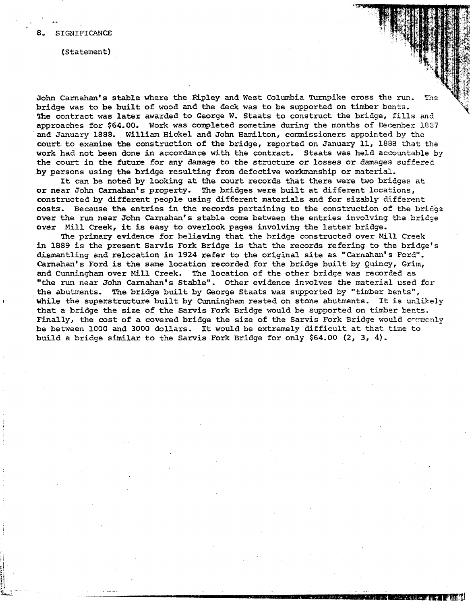.-

(Statement)

John Carnahan's stable where the Ripley and West Columbia Turnpike cross the run. The bridge was to be built of wood and the deck was to be supported on timber bents. The contract was later awarded to George W. Staats to construct the bridge, fills **and**  approaches for \$64.00. Work was completed sometime during the months of December **5.1387**  and January 1888. William Hickel and John Hamilton, commissioners appointed by **the**  court to examine the construction of the bridge, reported on **January** 11, 1888 *that* **the**  work had not been done in accordance with the contract. Staats was held accountable by the court in **the future for** any damage to the structure or losses or damages **suffered**  by persons using the bridge resulting from defective workmanship or material.

It **can** be noted by looking at the court records that there were two briclges at or near John **Carnahan's** property. The bridges were built at different locations, constructed by different people using different materials and for sizably different costs. Because the entries in the records pertaining to the construction of the bridge over the run near John Carnahan's stable come between the entries involving **the** bridge over Mill Creek, it is easy to overlook pages involving the latter bridge.

The primary evidence for believing that the bridge constructed over Mill Creek in 1889 is the present Sarvis Fork Bridge is that the records refering to the bridge's dismantling and relocation in 1924 refer to the original site as "Carnahan's Ford". **Carnaha?'** s Ford is the same location recorded for the bridge built by Quincy, Grim, and Cunningham over Mill Creek. The location of the other bridge was recorded as "the run near John Carnahan's Stable". Other evidence involves the material used for **the** abutments. The bridge built by George Staats was supported by "timber bents", <sup>I</sup>**while** the superstructure built by Cunningham rested on stone abutments. It is **unlikely**  that a bridge the size of the Sarvis Fork Bridge would be supported on timber bents. Finally, the cost of a covered bridge the size of the Sarvis Fork Bridge would commonly be between 1000 and 3000 dollars. It would be extremely difficult at that time to build a bridge similar to the Sarvis Fork Bridge for only \$64.00 (2, **3,** 4)-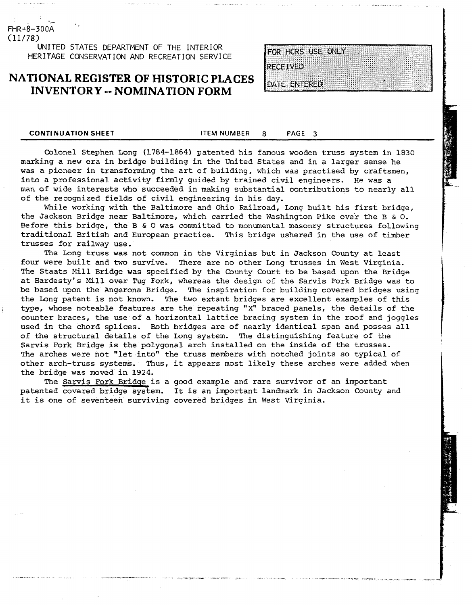FHR-8-300A  $(11/78)$ 

> **UNITED STATES DEPARTMENT OF THE INTERIOR HERITAGE CONSERVATION AND RECREATION SERVICE**

#### **NATIONAL REGISTER OF HISTORIC PLACES INVENTORY** -- **NOMINATION FORM**

FOR HCRS USE ONLY

**RECEIVED** 

DATE ENTERED

**CONTI NUATION SHEET ITEM NUMBER 8 PAGE 3** 

Colonel Stephen Long (1784-1864) patented his famous wooden truss system in 1830 marking a new era in bridge building in the United States and in a larger sense he was a pioneer in transforming the art of building, which was practised by craftsmen, into a professional activity firmly guided by trained civil engineers. He was a man of wide interests who succeeded in making substantial contributions to nearly all of the recognized fields of civil engineering in his day,

While working with the Baltimore and Ohio Railroad, Long built his first bridge, the Jackson Bridge near Baltimore, which carried the Washington Pike over the B & 0, Before this bridge, the B & **0** was committed to monumental masonry structures following traditional British and European practice. This bridge ushered in the use of timber trusses for railway use.

The Long truss was not common in the Virginias but in Jackson County at least four were built and two survive. There are no other Long trusses in West Virginia. The Staats Mill Bridge was specified by the County Court to be based upon the Bridge at Hardesty's Mill over Tug Fork, whereas the design of the Sarvis Fork Bridge was to be based upon the Angerona Bridqe. The inspiration for building covered bridges using the Long patent is not known. The two extant bridges are excellent examples of this type, whose noteable features are the repeating "X" braced panels, the details of the counter braces, the use of a horizontal lattice bracing system in the roof and joggles used in the chord splices. Both bridges are of nearly identical span and posses all of the structural details of the Long system. The distinguishing feature of the Sarvis Fork Bridge is the polygonal arch installed on the inside of the trusses. The arches were not "let into" the truss members with notched joints so typical of other arch-truss systems. Thus, it appears most likely these arches were added when the bridge was moved in 1924.

The Sarvis Fork Bridge is a good example and rare survivor of an important patented covered bridge system. It is an important landmark in Jackson County and it is one of seventeen surviving covered bridges in West Virginia.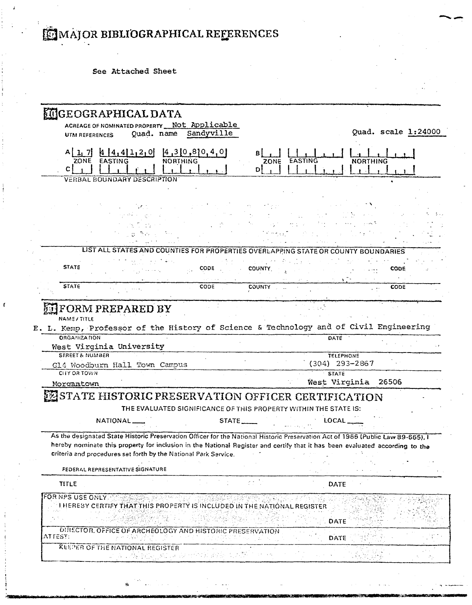## MAJOR BIBLIOGRAPHICAL REFERENCES

See Attached Sheet

|                                                                                                                              | <b>MIGEOGRAPHICAL DATA</b>                                                                                                                                                                                                      |                                    |                                                                  |                     |                     |             |
|------------------------------------------------------------------------------------------------------------------------------|---------------------------------------------------------------------------------------------------------------------------------------------------------------------------------------------------------------------------------|------------------------------------|------------------------------------------------------------------|---------------------|---------------------|-------------|
| <b>UTM REFERENCES</b>                                                                                                        | ACREAGE OF NOMINATED PROPERTY Not Applicable<br>Quad. name                                                                                                                                                                      | Sandyville                         |                                                                  |                     | Quad. scale 1:24000 |             |
|                                                                                                                              |                                                                                                                                                                                                                                 |                                    |                                                                  |                     |                     |             |
| ZONE EASTING                                                                                                                 | $A$ [1, 7] $A$ [4, 4][1, 2, 0]                                                                                                                                                                                                  | [4,3[0,8]0,4,0]<br><b>NORTHING</b> | Bl<br>EASTING<br>ZONE                                            |                     | <b>NORTHING</b>     |             |
| C                                                                                                                            |                                                                                                                                                                                                                                 |                                    | DΙ                                                               |                     |                     |             |
|                                                                                                                              | <b>VERBAL BOUNDARY DESCRIPTION</b>                                                                                                                                                                                              |                                    |                                                                  |                     |                     |             |
|                                                                                                                              |                                                                                                                                                                                                                                 |                                    |                                                                  |                     |                     |             |
|                                                                                                                              |                                                                                                                                                                                                                                 |                                    |                                                                  |                     |                     |             |
|                                                                                                                              |                                                                                                                                                                                                                                 |                                    |                                                                  |                     |                     |             |
|                                                                                                                              |                                                                                                                                                                                                                                 |                                    |                                                                  |                     |                     |             |
|                                                                                                                              |                                                                                                                                                                                                                                 |                                    |                                                                  |                     |                     |             |
|                                                                                                                              | LIST ALL STATES AND COUNTIES FOR PROPERTIES OVERLAPPING STATE OR COUNTY BOUNDARIES                                                                                                                                              |                                    |                                                                  |                     |                     |             |
|                                                                                                                              |                                                                                                                                                                                                                                 |                                    |                                                                  |                     |                     |             |
| <b>STATE</b>                                                                                                                 |                                                                                                                                                                                                                                 | <b>CODE</b>                        | <b>COUNTY</b>                                                    |                     |                     | CODE        |
|                                                                                                                              |                                                                                                                                                                                                                                 |                                    |                                                                  |                     |                     |             |
| <b>STATE</b>                                                                                                                 |                                                                                                                                                                                                                                 | CODE                               | <b>COUNTY</b>                                                    |                     |                     | <b>CODE</b> |
|                                                                                                                              |                                                                                                                                                                                                                                 |                                    |                                                                  |                     |                     |             |
| <b>ORGANIZATION</b>                                                                                                          | E. L. Kemp, Professor of the History of Science & Technology and of Civil Engineering<br>West Virginia University                                                                                                               |                                    |                                                                  | DATE                |                     |             |
| <b>STREET &amp; NUMBER</b>                                                                                                   |                                                                                                                                                                                                                                 |                                    |                                                                  | <b>TELEPHONE</b>    |                     |             |
|                                                                                                                              | G14 Woodburn Hall Town Campus                                                                                                                                                                                                   |                                    |                                                                  | $(304)$ 293-2867    |                     |             |
| <b>CITY OR TOWN</b>                                                                                                          |                                                                                                                                                                                                                                 |                                    |                                                                  | <b>STATE</b>        |                     |             |
| Morgantown                                                                                                                   |                                                                                                                                                                                                                                 |                                    |                                                                  | West Virginia 26506 |                     |             |
|                                                                                                                              | STATE HISTORIC PRESERVATION OFFICER CERTIFICATION                                                                                                                                                                               |                                    |                                                                  |                     |                     |             |
|                                                                                                                              |                                                                                                                                                                                                                                 |                                    | THE EVALUATED SIGNIFICANCE OF THIS PROPERTY WITHIN THE STATE IS: |                     |                     |             |
|                                                                                                                              | <b>NATIONAL</b>                                                                                                                                                                                                                 | <b>STATE</b>                       |                                                                  | LOCAL               |                     |             |
|                                                                                                                              | As the designated State Historic Preservation Officer for the National Historic Preservation Act of 1966 (Public Law 89-665), I                                                                                                 |                                    |                                                                  |                     |                     |             |
|                                                                                                                              |                                                                                                                                                                                                                                 |                                    |                                                                  |                     |                     |             |
|                                                                                                                              | criteria and procedures set forth by the National Park Service.                                                                                                                                                                 |                                    |                                                                  |                     |                     |             |
| hereby nominate this property for inclusion in the National Register and certify that it has been evaluated according to the |                                                                                                                                                                                                                                 |                                    |                                                                  |                     |                     |             |
|                                                                                                                              |                                                                                                                                                                                                                                 |                                    |                                                                  |                     |                     |             |
|                                                                                                                              | FEDERAL REPRESENTATIVE SIGNATURE                                                                                                                                                                                                |                                    |                                                                  |                     |                     |             |
| <b>TITLE</b>                                                                                                                 |                                                                                                                                                                                                                                 |                                    |                                                                  | <b>DATE</b>         |                     |             |
| <b>FOR NPS USE ONLY NEW</b>                                                                                                  |                                                                                                                                                                                                                                 |                                    |                                                                  |                     |                     |             |
|                                                                                                                              | LHEREBY CERTIFY THAT THIS PROPERTY IS INCLUDED IN THE NATIONAL REGISTER                                                                                                                                                         |                                    |                                                                  |                     |                     |             |
|                                                                                                                              | in stringer i Standard i Standard i Standard i Standard i Standard i Standard i Standard i Standard i Standard<br>Standard i Standard i Standard i Standard i Standard i Standard i Standard i Standard i Standard i Standard i |                                    |                                                                  | <b>DATE</b>         |                     |             |
| ATTEST:                                                                                                                      | DIRECTOR, OFFICE OF ARCHEOLOGY AND HISTORIC PRESERVATION                                                                                                                                                                        |                                    |                                                                  | DATE                |                     |             |
|                                                                                                                              | 작은 결과 인<br><b>KEEPER OF THE NATIONAL REGISTER</b>                                                                                                                                                                               |                                    |                                                                  |                     |                     |             |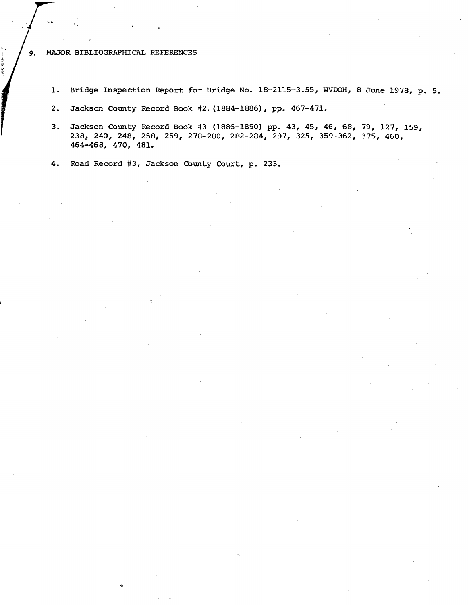#### MAJOR **BIBLIOGRAPHICAL REFERENCES**  9.

- 1. Bridge Inspection Report for Bridge No. 18-2115-3.55, WVDOH, 8 June 1978, p. 5.
- **2.** Jackson **County** Record Book **#2.(1884-18861,** pp. **467-471.**
- **3.** Jackson **County** Record Book **#3 (1886-1890)** pp. **43, 45, 46, 68, 79, 127, 159, 238, 240, 248, 258, 259, 278-280, 282-284, 297, 325, 359-362, 375, 460, 464-468, 470, 481.**

**4. Road** Record **#3,** Jackson **Qunty Court,** p. **233.**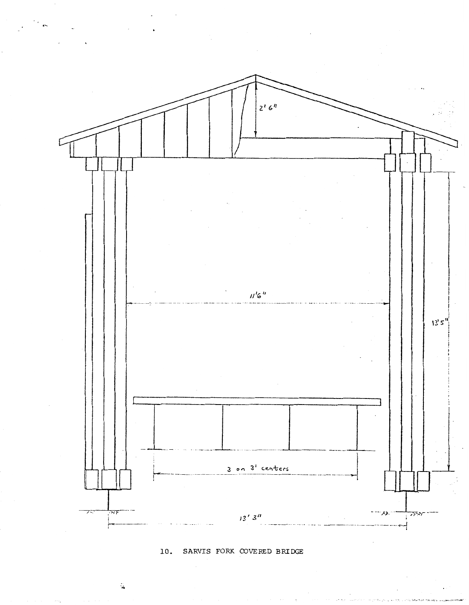

10. SARVIS FORK COVERED BRIDGE

 $\tilde{\mathbf{a}}$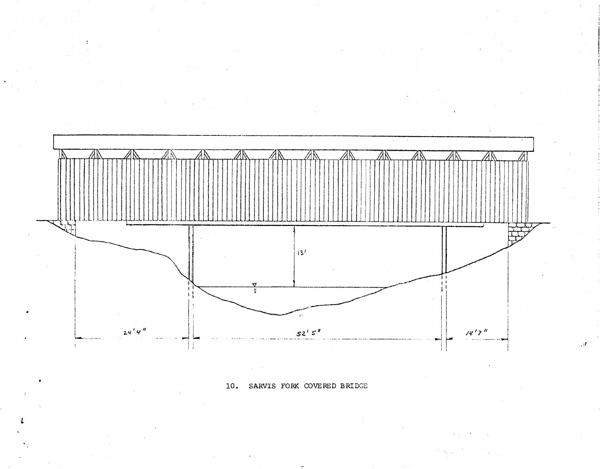

**10.** SARVIS **FORK** COVERED BRIDGE